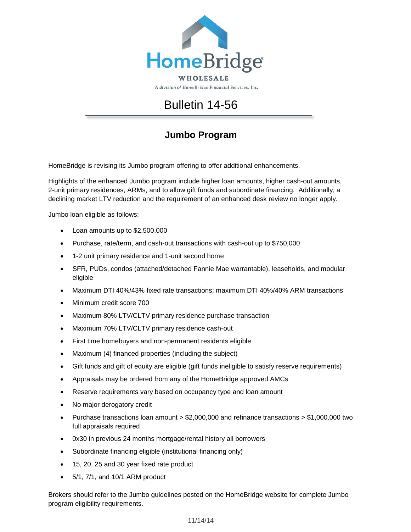

A division of HomeBridge Financial Services, Inc.

## Bulletin 14-56

## **Jumbo Program**

HomeBridge is revising its Jumbo program offering to offer additional enhancements.

Highlights of the enhanced Jumbo program include higher loan amounts, higher cash-out amounts, 2-unit primary residences, ARMs, and to allow gift funds and subordinate financing. Additionally, a declining market LTV reduction and the requirement of an enhanced desk review no longer apply.

Jumbo loan eligible as follows:

- Loan amounts up to \$2,500,000
- Purchase, rate/term, and cash-out transactions with cash-out up to \$750,000
- 1-2 unit primary residence and 1-unit second home
- SFR, PUDs, condos (attached/detached Fannie Mae warrantable), leaseholds, and modular eligible
- Maximum DTI 40%/43% fixed rate transactions; maximum DTI 40%/40% ARM transactions
- Minimum credit score 700
- Maximum 80% LTV/CLTV primary residence purchase transaction
- Maximum 70% LTV/CLTV primary residence cash-out
- First time homebuyers and non-permanent residents eligible
- Maximum (4) financed properties (including the subject)
- Gift funds and gift of equity are eligible (gift funds ineligible to satisfy reserve requirements)
- Appraisals may be ordered from any of the HomeBridge approved AMCs
- Reserve requirements vary based on occupancy type and loan amount
- No major derogatory credit
- Purchase transactions loan amount > \$2,000,000 and refinance transactions > \$1,000,000 two full appraisals required
- 0x30 in previous 24 months mortgage/rental history all borrowers
- Subordinate financing eligible (institutional financing only)
- 15, 20, 25 and 30 year fixed rate product
- 5/1, 7/1, and 10/1 ARM product

Brokers should refer to the Jumbo guidelines posted on the HomeBridge website for complete Jumbo program eligibility requirements.